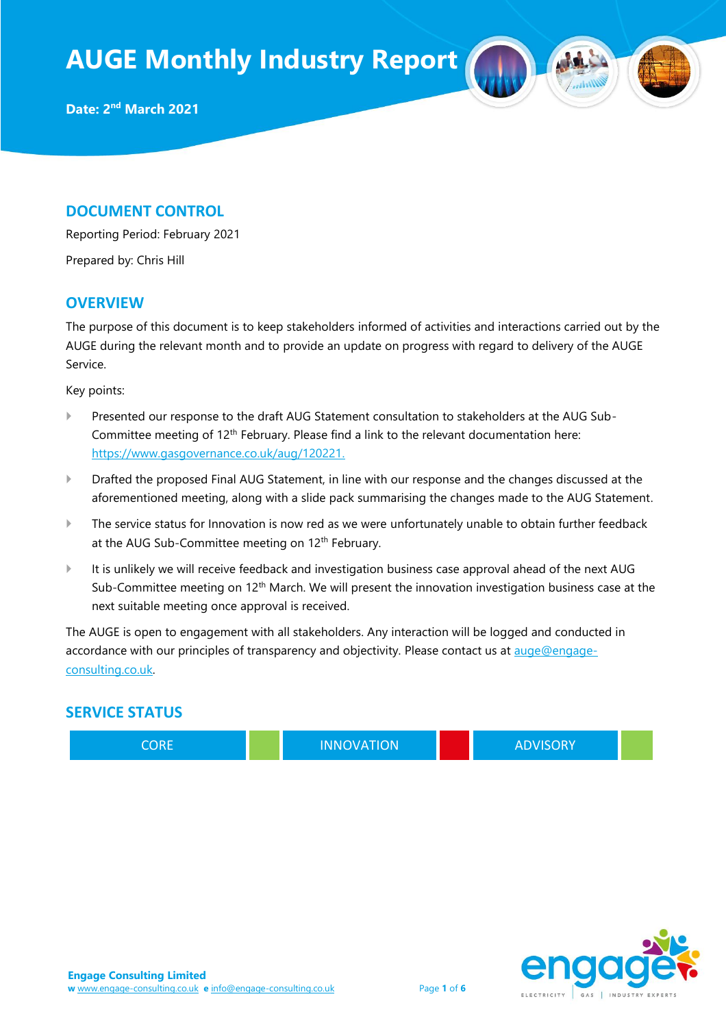### **DOCUMENT CONTROL**

Reporting Period: February 2021

Prepared by: Chris Hill

### **OVERVIEW**

The purpose of this document is to keep stakeholders informed of activities and interactions carried out by the AUGE during the relevant month and to provide an update on progress with regard to delivery of the AUGE Service.

Key points:

- Presented our response to the draft AUG Statement consultation to stakeholders at the AUG Sub-Committee meeting of 12<sup>th</sup> February. Please find a link to the relevant documentation here: [https://www.gasgovernance.co.uk/aug/120221.](https://www.gasgovernance.co.uk/aug/120221)
- Drafted the proposed Final AUG Statement, in line with our response and the changes discussed at the aforementioned meeting, along with a slide pack summarising the changes made to the AUG Statement.
- The service status for Innovation is now red as we were unfortunately unable to obtain further feedback at the AUG Sub-Committee meeting on 12<sup>th</sup> February.
- It is unlikely we will receive feedback and investigation business case approval ahead of the next AUG Sub-Committee meeting on 12<sup>th</sup> March. We will present the innovation investigation business case at the next suitable meeting once approval is received.

The AUGE is open to engagement with all stakeholders. Any interaction will be logged and conducted in accordance with our principles of transparency and objectivity. Please contact us at [auge@engage](mailto:auge@engage-consulting.co.uk)[consulting.co.uk.](mailto:auge@engage-consulting.co.uk) 

### **SERVICE STATUS**

CORE **INNOVATION CORE ADVISORY** 

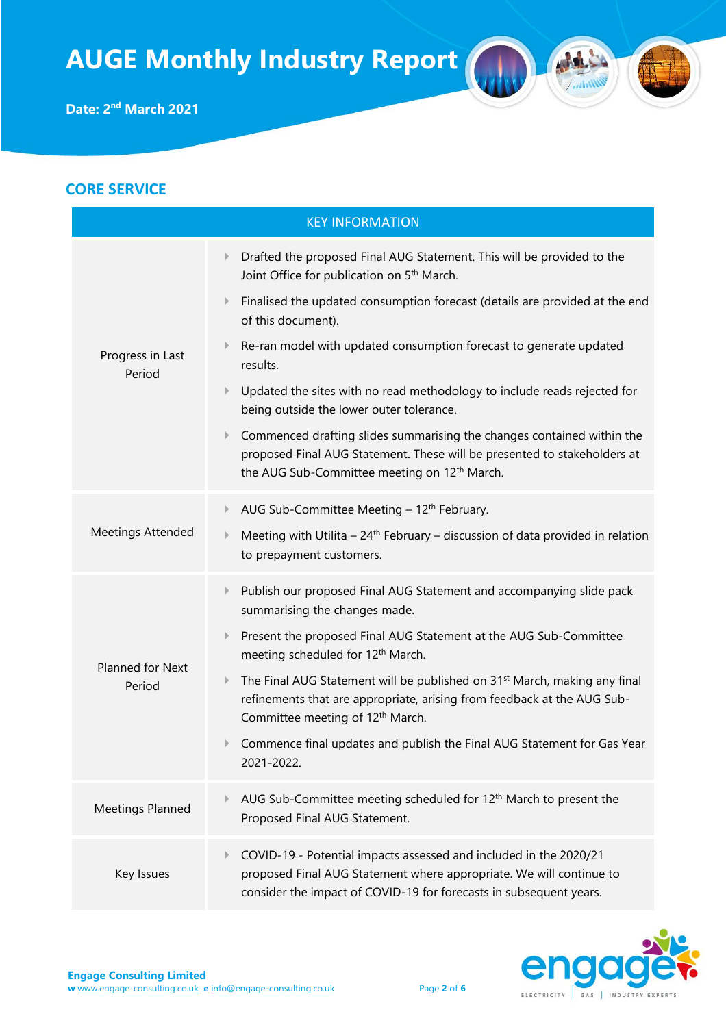## **CORE SERVICE** KEY INFORMATION Progress in Last Period Drafted the proposed Final AUG Statement. This will be provided to the Joint Office for publication on 5th March. Finalised the updated consumption forecast (details are provided at the end of this document). Re-ran model with updated consumption forecast to generate updated results. Updated the sites with no read methodology to include reads rejected for being outside the lower outer tolerance. Commenced drafting slides summarising the changes contained within the proposed Final AUG Statement. These will be presented to stakeholders at the AUG Sub-Committee meeting on 12<sup>th</sup> March. Meetings Attended AUG Sub-Committee Meeting  $-12<sup>th</sup>$  February. Meeting with Utilita –  $24<sup>th</sup>$  February – discussion of data provided in relation to prepayment customers. Planned for Next Period Publish our proposed Final AUG Statement and accompanying slide pack summarising the changes made. Present the proposed Final AUG Statement at the AUG Sub-Committee meeting scheduled for 12<sup>th</sup> March.  $\blacktriangleright$  The Final AUG Statement will be published on 31<sup>st</sup> March, making any final refinements that are appropriate, arising from feedback at the AUG Sub-Committee meeting of 12<sup>th</sup> March. Commence final updates and publish the Final AUG Statement for Gas Year 2021-2022. Meetings Planned  $\blacktriangleright$  AUG Sub-Committee meeting scheduled for 12<sup>th</sup> March to present the Proposed Final AUG Statement. Key Issues COVID-19 - Potential impacts assessed and included in the 2020/21 proposed Final AUG Statement where appropriate. We will continue to consider the impact of COVID-19 for forecasts in subsequent years.

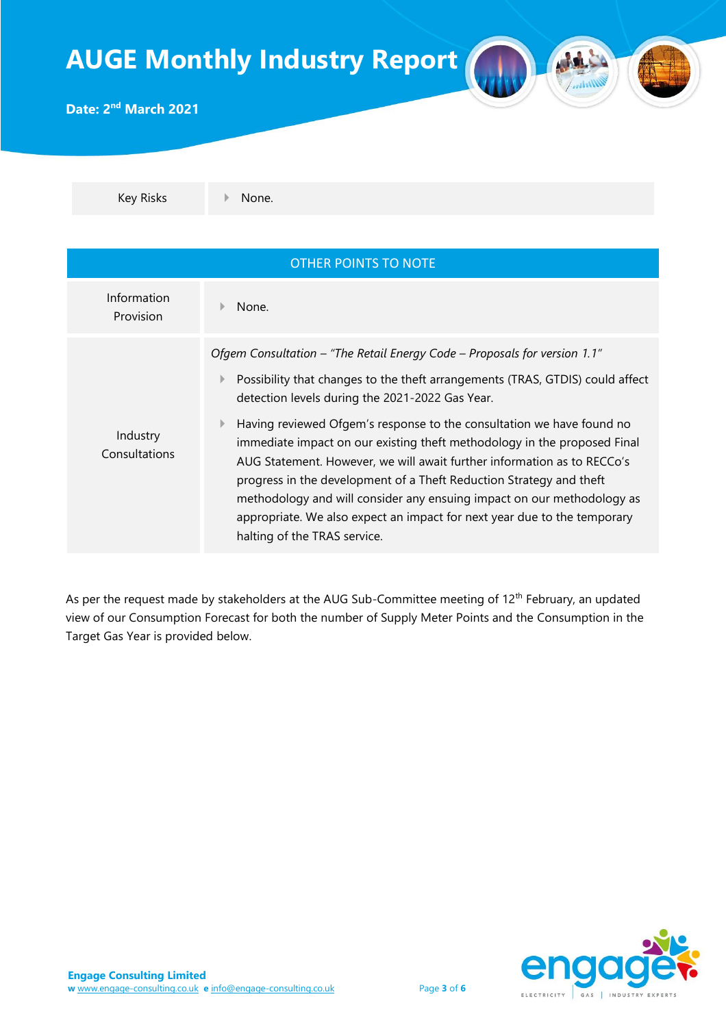

Key Risks None.

| <b>OTHER POINTS TO NOTE</b> |                                                                                                                                                                                                                                                                                                                                                                                                                                                                                                           |  |  |
|-----------------------------|-----------------------------------------------------------------------------------------------------------------------------------------------------------------------------------------------------------------------------------------------------------------------------------------------------------------------------------------------------------------------------------------------------------------------------------------------------------------------------------------------------------|--|--|
| Information<br>Provision    | None.                                                                                                                                                                                                                                                                                                                                                                                                                                                                                                     |  |  |
|                             | Ofgem Consultation – "The Retail Energy Code – Proposals for version 1.1"                                                                                                                                                                                                                                                                                                                                                                                                                                 |  |  |
|                             | Possibility that changes to the theft arrangements (TRAS, GTDIS) could affect<br>Þ.<br>detection levels during the 2021-2022 Gas Year.                                                                                                                                                                                                                                                                                                                                                                    |  |  |
| Industry<br>Consultations   | Having reviewed Ofgem's response to the consultation we have found no<br>$\mathbb{P}$<br>immediate impact on our existing theft methodology in the proposed Final<br>AUG Statement. However, we will await further information as to RECCo's<br>progress in the development of a Theft Reduction Strategy and theft<br>methodology and will consider any ensuing impact on our methodology as<br>appropriate. We also expect an impact for next year due to the temporary<br>halting of the TRAS service. |  |  |

As per the request made by stakeholders at the AUG Sub-Committee meeting of 12<sup>th</sup> February, an updated view of our Consumption Forecast for both the number of Supply Meter Points and the Consumption in the Target Gas Year is provided below.

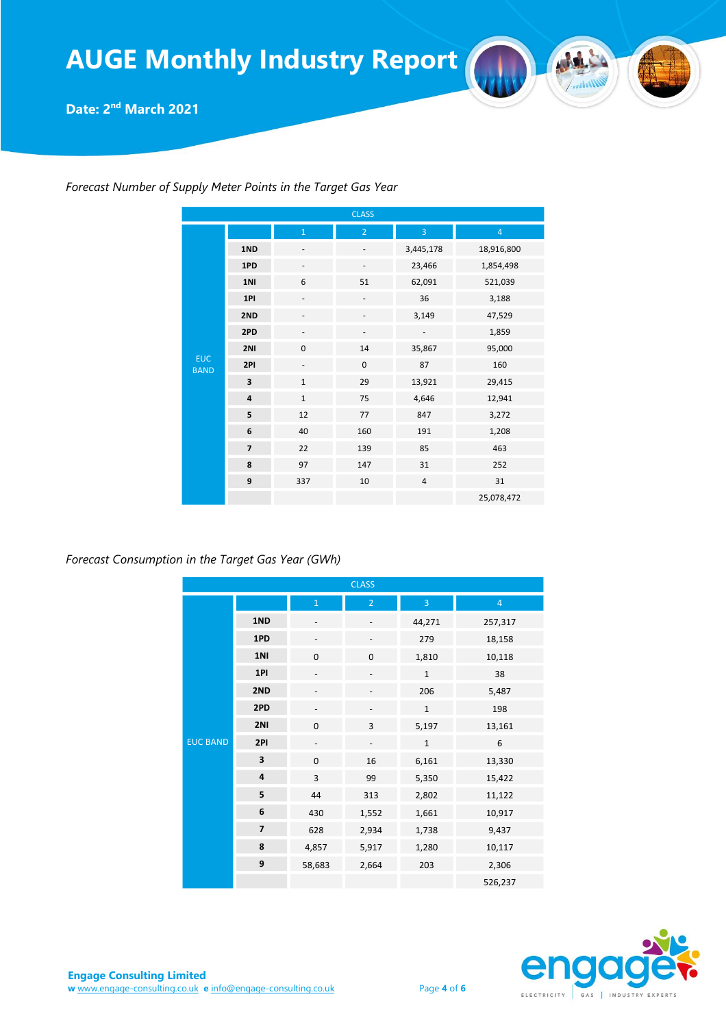**Date: 2 nd March 2021**

|                           |                |                          | <b>CLASS</b>   |                          |                |
|---------------------------|----------------|--------------------------|----------------|--------------------------|----------------|
| <b>EUC</b><br><b>BAND</b> |                | $\mathbf{1}$             | $\overline{2}$ | 3                        | $\overline{4}$ |
|                           | 1ND            |                          | -              | 3,445,178                | 18,916,800     |
|                           | 1PD            |                          | -              | 23,466                   | 1,854,498      |
|                           | 1NI            | 6                        | 51             | 62,091                   | 521,039        |
|                           | 1PI            |                          |                | 36                       | 3,188          |
|                           | 2ND            |                          |                | 3,149                    | 47,529         |
|                           | 2PD            |                          | -              | $\overline{\phantom{a}}$ | 1,859          |
|                           | 2NI            | $\pmb{0}$                | 14             | 35,867                   | 95,000         |
|                           | 2PI            | $\overline{\phantom{a}}$ | $\mathbf 0$    | 87                       | 160            |
|                           | 3              | $\mathbf{1}$             | 29             | 13,921                   | 29,415         |
|                           | $\overline{4}$ | $\mathbf{1}$             | 75             | 4,646                    | 12,941         |
|                           | 5              | 12                       | 77             | 847                      | 3,272          |
|                           | 6              | 40                       | 160            | 191                      | 1,208          |
|                           | $\overline{7}$ | 22                       | 139            | 85                       | 463            |
|                           | 8              | 97                       | 147            | 31                       | 252            |
|                           | 9              | 337                      | 10             | $\overline{4}$           | 31             |
|                           |                |                          |                |                          | 25,078,472     |

*Forecast Number of Supply Meter Points in the Target Gas Year*

*Forecast Consumption in the Target Gas Year (GWh)*

|                 |                |                          | <b>CLASS</b>                 |                |                |
|-----------------|----------------|--------------------------|------------------------------|----------------|----------------|
|                 |                | $\mathbf{1}$             | $\overline{2}$               | $\overline{3}$ | $\overline{4}$ |
|                 | 1ND            | -                        | -                            | 44,271         | 257,317        |
|                 | 1PD            | $\overline{\phantom{a}}$ | $\overline{\phantom{a}}$     | 279            | 18,158         |
|                 | 1NI            | $\mathbf 0$              | $\mathbf 0$                  | 1,810          | 10,118         |
|                 | 1PI            |                          |                              | $\mathbf 1$    | 38             |
|                 | 2ND            |                          |                              | 206            | 5,487          |
|                 | 2PD            |                          |                              | $\mathbf{1}$   | 198            |
|                 | 2NI            | $\pmb{0}$                | 3                            | 5,197          | 13,161         |
| <b>EUC BAND</b> | 2PI            | -                        | $\qquad \qquad \blacksquare$ | $\mathbf{1}$   | 6              |
|                 | 3              | $\mathbf 0$              | 16                           | 6,161          | 13,330         |
|                 | $\overline{a}$ | $\overline{3}$           | 99                           | 5,350          | 15,422         |
|                 | 5              | 44                       | 313                          | 2,802          | 11,122         |
|                 | 6              | 430                      | 1,552                        | 1,661          | 10,917         |
|                 | $\overline{7}$ | 628                      | 2,934                        | 1,738          | 9,437          |
|                 | 8              | 4,857                    | 5,917                        | 1,280          | 10,117         |
|                 | 9              | 58,683                   | 2,664                        | 203            | 2,306          |
|                 |                |                          |                              |                | 526,237        |

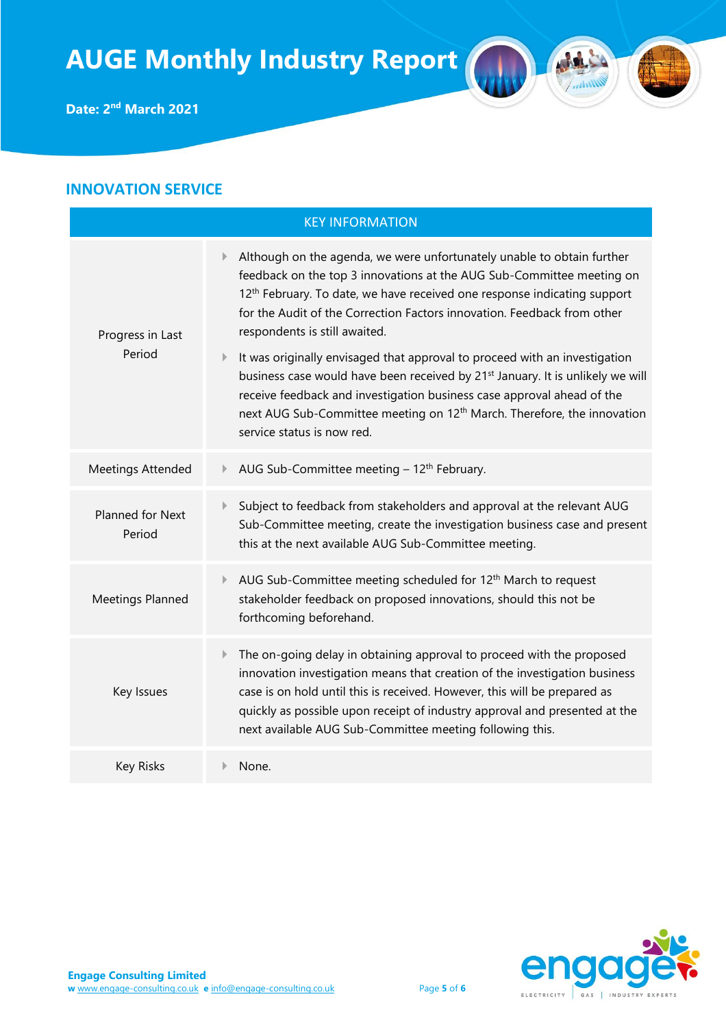### **INNOVATION SERVICE**

| <b>KEY INFORMATION</b>     |                                                                                                                                                                                                                                                                                                                                                                                                                                                   |  |  |
|----------------------------|---------------------------------------------------------------------------------------------------------------------------------------------------------------------------------------------------------------------------------------------------------------------------------------------------------------------------------------------------------------------------------------------------------------------------------------------------|--|--|
| Progress in Last<br>Period | Although on the agenda, we were unfortunately unable to obtain further<br>$\mathbb{R}$<br>feedback on the top 3 innovations at the AUG Sub-Committee meeting on<br>12 <sup>th</sup> February. To date, we have received one response indicating support<br>for the Audit of the Correction Factors innovation. Feedback from other<br>respondents is still awaited.<br>It was originally envisaged that approval to proceed with an investigation |  |  |
|                            | business case would have been received by 21 <sup>st</sup> January. It is unlikely we will<br>receive feedback and investigation business case approval ahead of the<br>next AUG Sub-Committee meeting on 12 <sup>th</sup> March. Therefore, the innovation<br>service status is now red.                                                                                                                                                         |  |  |
| Meetings Attended          | AUG Sub-Committee meeting - 12 <sup>th</sup> February.                                                                                                                                                                                                                                                                                                                                                                                            |  |  |
| Planned for Next<br>Period | Subject to feedback from stakeholders and approval at the relevant AUG<br>$\mathbb{R}$<br>Sub-Committee meeting, create the investigation business case and present<br>this at the next available AUG Sub-Committee meeting.                                                                                                                                                                                                                      |  |  |
| Meetings Planned           | AUG Sub-Committee meeting scheduled for 12 <sup>th</sup> March to request<br>Þ.<br>stakeholder feedback on proposed innovations, should this not be<br>forthcoming beforehand.                                                                                                                                                                                                                                                                    |  |  |
| Key Issues                 | The on-going delay in obtaining approval to proceed with the proposed<br>Þ.<br>innovation investigation means that creation of the investigation business<br>case is on hold until this is received. However, this will be prepared as<br>quickly as possible upon receipt of industry approval and presented at the<br>next available AUG Sub-Committee meeting following this.                                                                  |  |  |
| <b>Key Risks</b>           | None.                                                                                                                                                                                                                                                                                                                                                                                                                                             |  |  |



M

Antilly